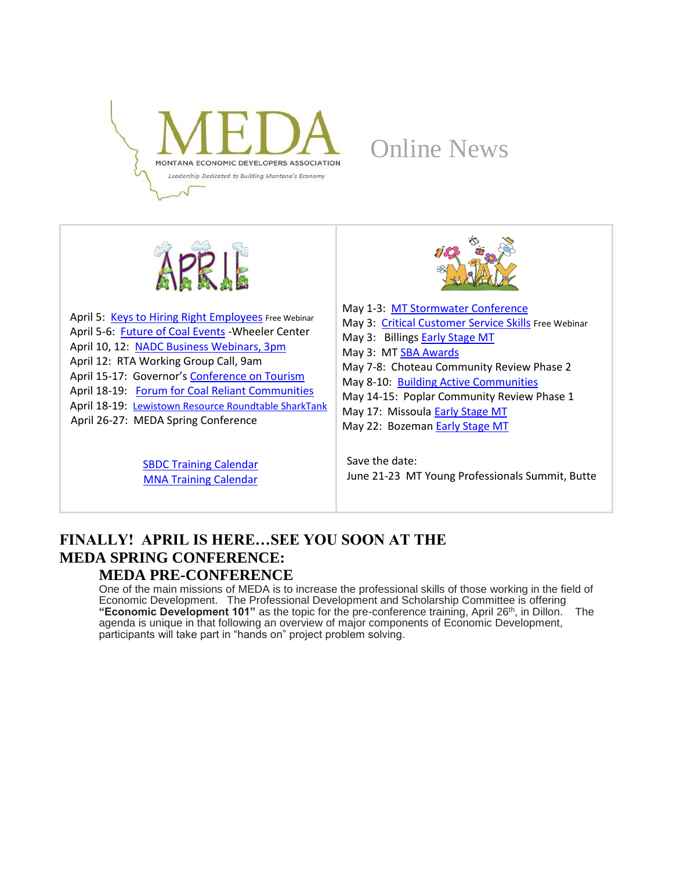

# Online News



April 5: [Keys to Hiring Right Employees](http://msucommunitydevelopment.org/smallbusiness.html) Free Webinar April 5-6: [Future of Coal Events](http://wheelercenter.org/events-and-conferences) - Wheeler Center April 10, 12: [NADC Business Webinars, 3pm](https://global.gotomeeting.com/join/693193005) April 12: RTA Working Group Call, 9am April 15-17: Governor's [Conference on Tourism](https://mttourismconference.regfox.com/montana-governors-conference-on-tourism-recreation) April 18-19: [Forum for Coal Reliant Communities](http://www.naco.org/events/strengthening-economies-montana-forum-coal-reliant-communities) April 18-19: [Lewistown Resource Roundtable SharkTank](http://matr.net/events.phtml?showdetail=6727) April 26-27: MEDA Spring Conference

> [SBDC Training Calendar](http://sbdc.mt.gov/trainings) [MNA Training Calendar](http://www.mtnonprofit.org/17training/)



May 1-3: [MT Stormwater Conference](http://www.mtstormwaterconference.org/) May 3: [Critical Customer Service Skills](http://msucommunitydevelopment.org/smallbusiness.html) Free Webinar May 3: Billing[s Early Stage MT](http://www.earlystagemt.org/) May 3: MT [SBA Awards](http://www.bigskyeconomicdevelopment.org/calendar/sba-awards/) May 7-8: Choteau [Communi](https://creativecommons.org/licenses/by-sa/3.0/)ty Review Phase 2 May 8-10: [Building Active Communities](http://matr.net/events.phtml?showdetail=6714) May 14-15: Poplar Community Review Phase 1 May 17: Missoula **[Early Stage MT](http://www.earlystagemt.org/)** May 22: Bozema[n Early Stage MT](http://www.earlystagemt.org/)

Save the date: June 21-23 MT Young Professionals Summit, Butte

# **FINALLY! APRIL IS HERE…SEE YOU SOON AT THE MEDA SPRING CONFERENCE:**

### **MEDA PRE-CONFERENCE**

One of the main missions of MEDA is to increase the professional skills of those working in the field of Economic Development. The Professional Development and Scholarship Committee is offering "**Economic Development 101**" as the topic for the pre-conference training, April 26<sup>th</sup>, in Dillon. The agenda is unique in that following an overview of major components of Economic Development, participants will take part in "hands on" project problem solving.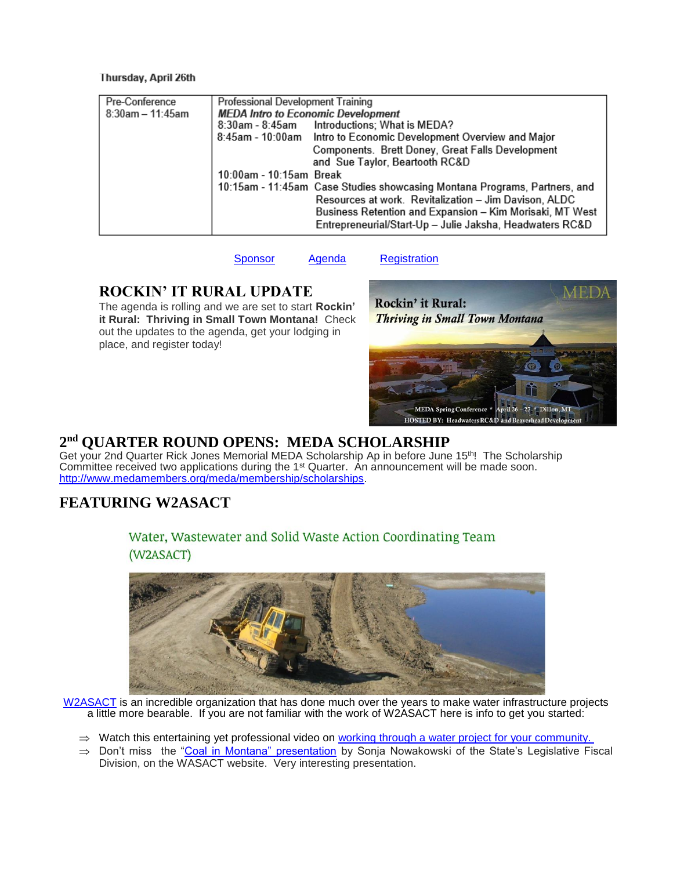#### I hursday, April 26th

| Pre-Conference      | Professional Development Training                                         |
|---------------------|---------------------------------------------------------------------------|
| $8:30$ am - 11:45am | <b>MEDA Intro to Economic Development</b>                                 |
|                     | 8:30am - 8:45am Introductions; What is MEDA?                              |
|                     | 8:45am - 10:00am Intro to Economic Development Overview and Major         |
|                     | Components. Brett Doney, Great Falls Development                          |
|                     | and Sue Taylor, Beartooth RC&D                                            |
|                     | 10:00am - 10:15am Break                                                   |
|                     | 10:15am - 11:45am Case Studies showcasing Montana Programs, Partners, and |
|                     | Resources at work. Revitalization - Jim Davison, ALDC                     |
|                     | Business Retention and Expansion - Kim Morisaki, MT West                  |
|                     | Entrepreneurial/Start-Up - Julie Jaksha, Headwaters RC&D                  |

[Sponsor](http://www.medamembers.org/media/userfiles/subsite_107/files/MEDA%20sponsorship%20Letter%20Final.pdf) [Agenda](http://www.medamembers.org/media/userfiles/subsite_107/files/MEDASpring2018.pdf) [Registration](https://app.mt.gov/cgi-bin/confreg2/index.cgi?CONFERENCE_ID=6883&ACTION=INTRO)

### **ROCKIN' IT RURAL UPDATE**

The agenda is rolling and we are set to start **Rockin' it Rural: Thriving in Small Town Montana!** Check out the updates to the agenda, get your lodging in place, and register today!



### **2 nd QUARTER ROUND OPENS: MEDA SCHOLARSHIP**

Get your 2nd Quarter Rick Jones Memorial MEDA Scholarship Ap in before June 15<sup>th</sup>! The Scholarship Committee received two applications during the 1st Quarter. An announcement will be made soon. [http://www.medamembers.org/meda/membership/scholarships.](http://www.medamembers.org/meda/membership/scholarships)

## **FEATURING W2ASACT**

### Water, Wastewater and Solid Waste Action Coordinating Team (W2ASACT)



[W2ASACT](http://dnrc.mt.gov/divisions/cardd/wasact) is an incredible organization that has done much over the years to make water infrastructure projects a little more bearable. If you are not familiar with the work of W2ASACT here is info to get you started:

 $\Rightarrow$  Watch this entertaining yet professional video on working through a water project for your community.

 $\Rightarrow$  Don't miss the ["Coal in Montana" presentation](http://dnrc.mt.gov/divisions/cardd/docs/resource-development/w2asact-docs/DNRCCoalOverview002.pdf) by Sonja Nowakowski of the State's Legislative Fiscal Division, on the WASACT website. Very interesting presentation.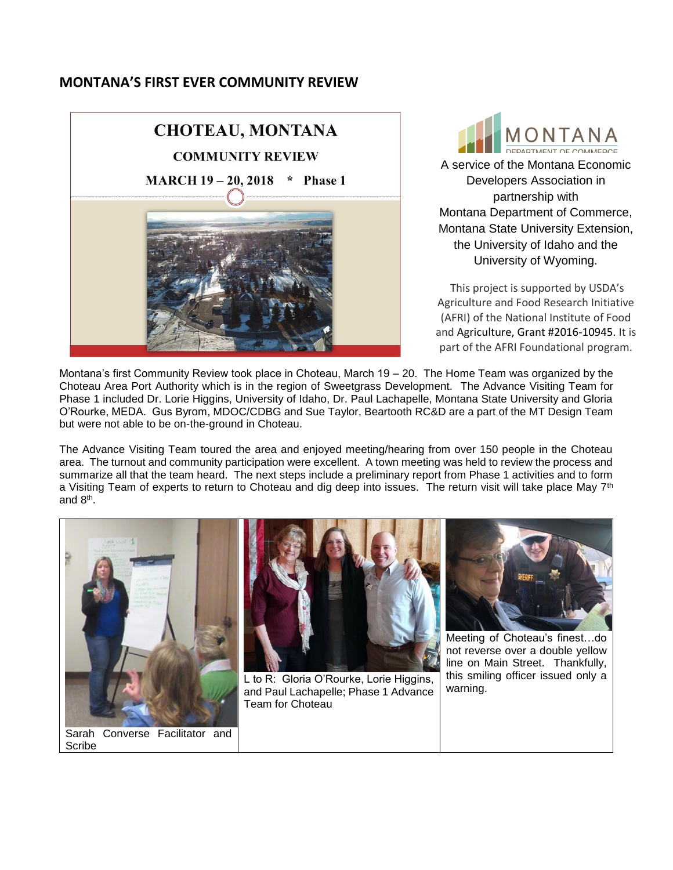#### **MONTANA'S FIRST EVER COMMUNITY REVIEW**



MONTANA

A service of the Montana Economic Developers Association in partnership with Montana Department of Commerce, Montana State University Extension, the University of Idaho and the University of Wyoming.

This project is supported by USDA's Agriculture and Food Research Initiative (AFRI) of the National Institute of Food and Agriculture, Grant #2016-10945. It is part of the AFRI Foundational program.

Montana's first Community Review took place in Choteau, March 19 – 20. The Home Team was organized by the Choteau Area Port Authority which is in the region of Sweetgrass Development. The Advance Visiting Team for Phase 1 included Dr. Lorie Higgins, University of Idaho, Dr. Paul Lachapelle, Montana State University and Gloria O'Rourke, MEDA. Gus Byrom, MDOC/CDBG and Sue Taylor, Beartooth RC&D are a part of the MT Design Team but were not able to be on-the-ground in Choteau.

The Advance Visiting Team toured the area and enjoyed meeting/hearing from over 150 people in the Choteau area. The turnout and community participation were excellent. A town meeting was held to review the process and summarize all that the team heard. The next steps include a preliminary report from Phase 1 activities and to form a Visiting Team of experts to return to Choteau and dig deep into issues. The return visit will take place May 7<sup>th</sup> and 8<sup>th</sup>.



Scribe



L to R: Gloria O'Rourke, Lorie Higgins, and Paul Lachapelle; Phase 1 Advance Team for Choteau



Meeting of Choteau's finest…do not reverse over a double yellow line on Main Street. Thankfully, this smiling officer issued only a warning.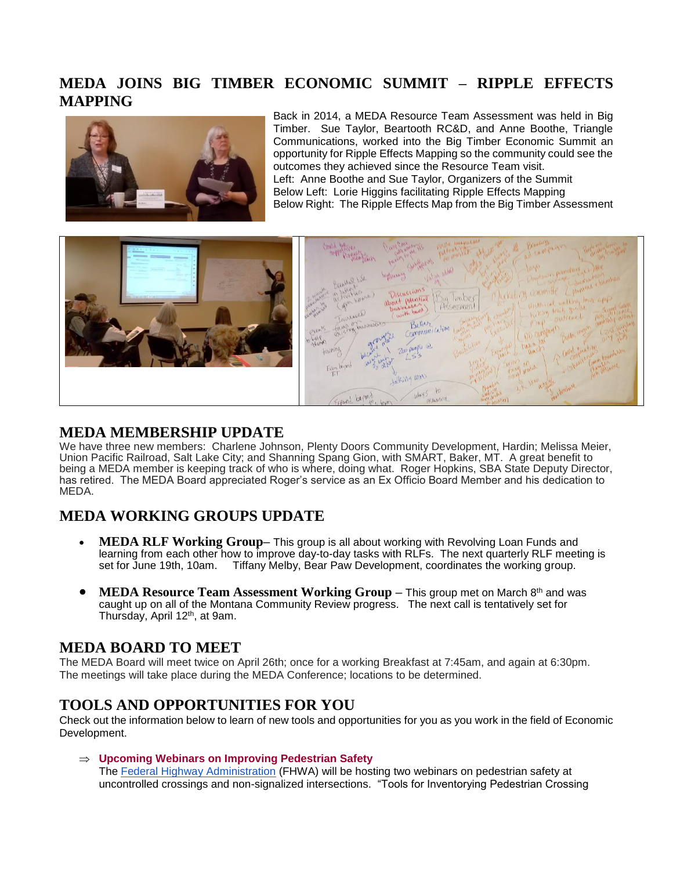### **MEDA JOINS BIG TIMBER ECONOMIC SUMMIT – RIPPLE EFFECTS MAPPING**



Back in 2014, a MEDA Resource Team Assessment was held in Big Timber. Sue Taylor, Beartooth RC&D, and Anne Boothe, Triangle Communications, worked into the Big Timber Economic Summit an opportunity for Ripple Effects Mapping so the community could see the outcomes they achieved since the Resource Team visit. Left: Anne Boothe and Sue Taylor, Organizers of the Summit Below Left: Lorie Higgins facilitating Ripple Effects Mapping Below Right: The Ripple Effects Map from the Big Timber Assessment



#### **MEDA MEMBERSHIP UPDATE**

We have three new members: Charlene Johnson, Plenty Doors Community Development, Hardin; Melissa Meier, Union Pacific Railroad, Salt Lake City; and Shanning Spang Gion, with SMART, Baker, MT. A great benefit to being a MEDA member is keeping track of who is where, doing what. Roger Hopkins, SBA State Deputy Director, has retired. The MEDA Board appreciated Roger's service as an Ex Officio Board Member and his dedication to MEDA.

### **MEDA WORKING GROUPS UPDATE**

- **MEDA RLF Working Group–** This group is all about working with Revolving Loan Funds and learning from each other how to improve day-to-day tasks with RLFs. The next quarterly RLF meeting is set for June 19th, 10am. Tiffany Melby, Bear Paw Development, coordinates the working group.
- **MEDA Resource Team Assessment Working Group –** This group met on March 8<sup>th</sup> and was caught up on all of the Montana Community Review progress. The next call is tentatively set for Thursday, April 12th, at 9am.

### **MEDA BOARD TO MEET**

The MEDA Board will meet twice on April 26th; once for a working Breakfast at 7:45am, and again at 6:30pm. The meetings will take place during the MEDA Conference; locations to be determined.

### **TOOLS AND OPPORTUNITIES FOR YOU**

Check out the information below to learn of new tools and opportunities for you as you work in the field of Economic Development.

 **Upcoming Webinars on Improving Pedestrian Safety** The [Federal Highway Administration](https://www.fhwa.dot.gov/) (FHWA) will be hosting two webinars on pedestrian safety at uncontrolled crossings and non-signalized intersections. "Tools for Inventorying Pedestrian Crossing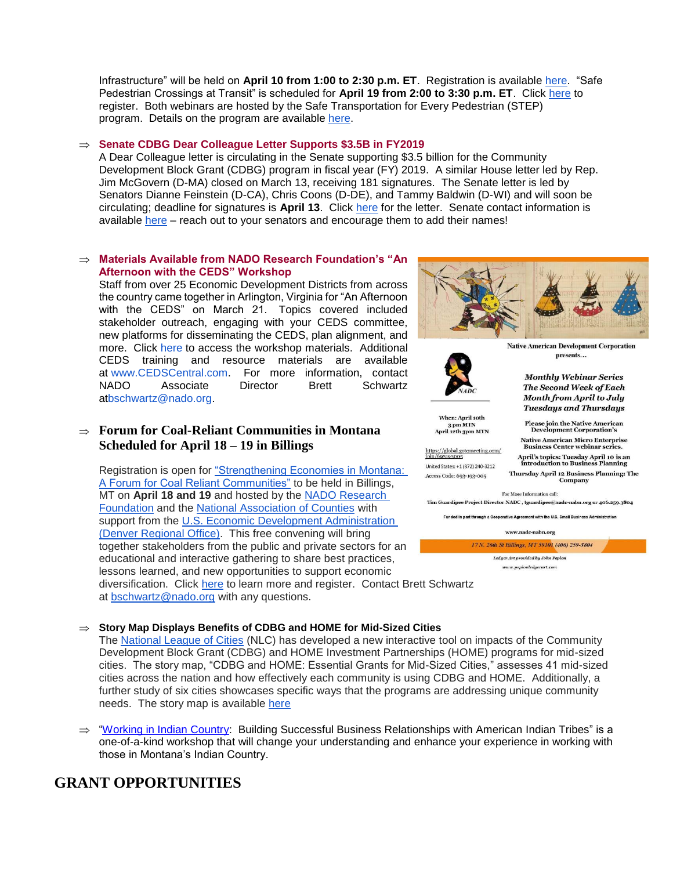Infrastructure" will be held on **April 10 from 1:00 to 2:30 p.m. ET**. Registration is available [here.](https://register.gotowebinar.com/register/3828334946263878147) "Safe Pedestrian Crossings at Transit" is scheduled for **April 19 from 2:00 to 3:30 p.m. ET**. Click [here](https://www.surveymonkey.com/r/nadtcfhwawebinar) to register. Both webinars are hosted by the Safe Transportation for Every Pedestrian (STEP) program. Details on the program are available [here.](https://www.fhwa.dot.gov/innovation/everydaycounts/edc_4/step.cfm)

#### **Senate CDBG Dear Colleague Letter Supports \$3.5B in FY2019**

A Dear Colleague letter is circulating in the Senate supporting \$3.5 billion for the Community Development Block Grant (CDBG) program in fiscal year (FY) 2019. A similar House letter led by Rep. Jim McGovern (D-MA) closed on March 13, receiving 181 signatures. The Senate letter is led by Senators Dianne Feinstein (D-CA), Chris Coons (D-DE), and Tammy Baldwin (D-WI) and will soon be circulating; deadline for signatures is **April 13**. Click [here](https://www.nado.org/wp-content/uploads/2018/03/FY19-CDBG-Senate-Dear-Colleague-Letter.pdf) for the letter. Senate contact information is available [here](https://www.senate.gov/general/contact_information/senators_cfm.cfm) – reach out to your senators and encourage them to add their names!

#### **Materials Available from NADO Research Foundation's "An Afternoon with the CEDS" Workshop**

Staff from over 25 Economic Development Districts from across the country came together in Arlington, Virginia for "An Afternoon with the CEDS" on March 21. Topics covered included stakeholder outreach, engaging with your CEDS committee, new platforms for disseminating the CEDS, plan alignment, and more. Click [here](https://www.nado.org/an-afternoon-with-the-ceds-workshop-materials/) to access the workshop materials. Additional CEDS training and resource materials are available at [www.CEDSCentral.com.](http://www.cedscentral.com/) For more information, contact NADO Associate Director Brett Schwartz a[tbschwartz@nado.org.](mailto:bschwartz@nado.org)

#### **Forum for Coal-Reliant Communities in Montana Scheduled for April 18 – 19 in Billings**

Registration is open for ["Strengthening Economies in Montana:](http://www.naco.org/events/strengthening-economies-montana-forum-coal-reliant-communities)  [A Forum for Coal Reliant Communities"](http://www.naco.org/events/strengthening-economies-montana-forum-coal-reliant-communities) to be held in Billings, MT on **April 18 and 19** and hosted by the [NADO Research](http://www.nado.org/)  [Foundation](http://www.nado.org/) and the [National Association of Counties](http://www.naco.org/) with support from the U.S. Economic Development Administration [\(Denver Regional Office\).](http://www.eda.gov/) This free convening will bring together stakeholders from the public and private sectors for an educational and interactive gathering to share best practices, lessons learned, and new opportunities to support economic diversification. Click [here](http://www.naco.org/events/strengthening-economies-montana-forum-coal-reliant-communities) to learn more and register. Contact Brett Schwartz at [bschwartz@nado.org](mailto:bschwartz@nado.org) with any questions.



**Native American Development Corporation** presents...

**Monthly Webinar Series The Second Week of Each Month from April to July** 



**Tuesdays and Thursdays** When: April 10th Please join the Native American<br>Development Corporation's

 $\begin{array}{c} \text{3 pm} \text{ MTN} \\ \text{April 12th} \text{3pm} \text{ MTN} \end{array}$ 

https://global.gotomeeting.com/<br>join/693193005 United States: +1 (872) 240-3212 Access Code: 693-193-005

Native American Micro Enterprise<br>Business Center webinar series. April's topics: Tuesday April 10 is an introduction to Busin Thursday April 12 Business Planning: The

Company For More Information call:

Tim Guardipee Project Director NADC, tguardipee@nadc-nabn.org or 406.259.3804

Funded in part through a Cooperative Agreement with the U.S. Small Business Adm

www.nadc-nabn.org

17 N. 26th St Billings, MT 59101 (406) 259-3804 Ledger Art provided by John Pepion www.pepionledgerart.com

#### **Story Map Displays Benefits of CDBG and HOME for Mid-Sized Cities**

The [National League of Cities](http://www.nlc.org/) (NLC) has developed a new interactive tool on impacts of the Community Development Block Grant (CDBG) and HOME Investment Partnerships (HOME) programs for mid-sized cities. The story map, "CDBG and HOME: Essential Grants for Mid-Sized Cities," assesses 41 mid-sized cities across the nation and how effectively each community is using CDBG and HOME. Additionally, a further study of six cities showcases specific ways that the programs are addressing unique community needs. The story map is available [here](http://mapsnlc.maps.arcgis.com/apps/Cascade/index.html?appid=3ec66935345a4672aedc6deb593381b6)

 $\Rightarrow$  ["Working in Indian Country:](https://www.workinginindiancountry.com/registration-and-scheduling/) Building Successful Business Relationships with American Indian Tribes" is a one-of-a-kind workshop that will change your understanding and enhance your experience in working with those in Montana's Indian Country.

### **GRANT OPPORTUNITIES**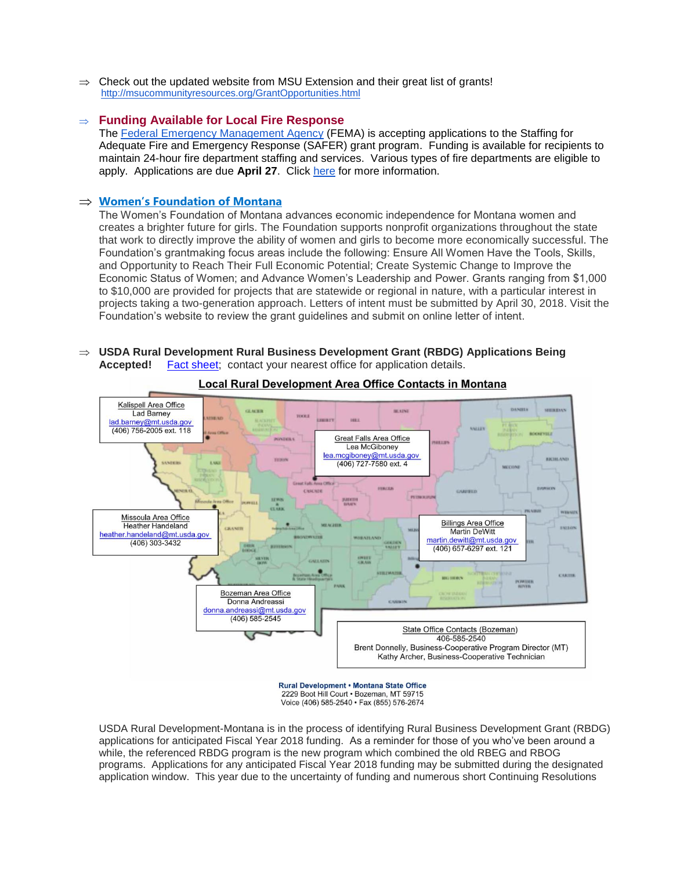$\Rightarrow$  Check out the updated website from MSU Extension and their great list of grants! <http://msucommunityresources.org/GrantOpportunities.html>

#### **Funding Available for Local Fire Response**

The [Federal Emergency Management Agency](https://www.fema.gov/) (FEMA) is accepting applications to the Staffing for Adequate Fire and Emergency Response (SAFER) grant program. Funding is available for recipients to maintain 24-hour fire department staffing and services. Various types of fire departments are eligible to apply. Applications are due **April 27**. Click [here](https://www.fema.gov/staffing-adequate-fire-emergency-response-grants) for more information.

#### **[Women's Foundation of Montana](http://wfmontana.org/grants/grant-opportunities/)**

The Women's Foundation of Montana advances economic independence for Montana women and creates a brighter future for girls. The Foundation supports nonprofit organizations throughout the state that work to directly improve the ability of women and girls to become more economically successful. The Foundation's grantmaking focus areas include the following: Ensure All Women Have the Tools, Skills, and Opportunity to Reach Their Full Economic Potential; Create Systemic Change to Improve the Economic Status of Women; and Advance Women's Leadership and Power. Grants ranging from \$1,000 to \$10,000 are provided for projects that are statewide or regional in nature, with a particular interest in projects taking a two-generation approach. Letters of intent must be submitted by April 30, 2018. Visit the Foundation's website to review the grant guidelines and submit on online letter of intent.

#### **USDA Rural Development Rural Business Development Grant (RBDG) Applications Being Accepted!** [Fact sheet;](https://www.rd.usda.gov/files/fact-sheet/RD-FactSheet-RBS-RBDG.pdf) contact your nearest office for application details.



Local Rural Development Area Office Contacts in Montana

USDA Rural Development-Montana is in the process of identifying Rural Business Development Grant (RBDG) applications for anticipated Fiscal Year 2018 funding. As a reminder for those of you who've been around a while, the referenced RBDG program is the new program which combined the old RBEG and RBOG programs. Applications for any anticipated Fiscal Year 2018 funding may be submitted during the designated application window. This year due to the uncertainty of funding and numerous short Continuing Resolutions

<sup>2229</sup> Boot Hill Court . Bozeman, MT 59715 Voice (406) 585-2540 · Fax (855) 576-2674